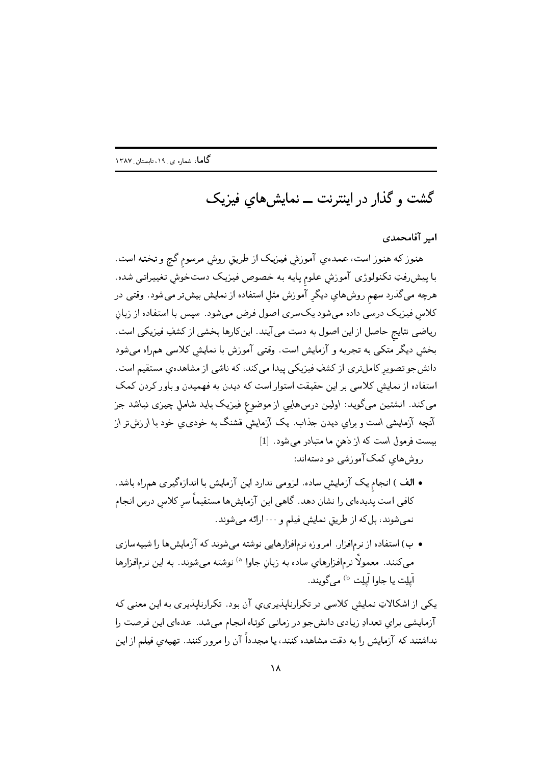گشت و گذار در اینترنت ـــ نمایش های فیزیک

امير آقامحمدي

هنوز كه هنوز است، عمدهي آموزش فيزيك از طريق روش مرسوم گچ و تخته است. با پیش رفتِ تکنولوژی آموزش علوم پایه به خصوص فیزیک دستخوش تغییراتی شده. هرچه میگذرد سهم روشهاي ديگر آموزش مثل استفاده از نمايش بيشتر میشود. وقتی در کلاس فیزیک درسی داده میشود یکسری اصول فرض میشود. سپس با استفاده از زبان ریاضی نتایج حاصل از این اصول به دست می آیند. این کارها بخشی از کشفِ فیزیکی است. بخش دیگر متکی به تجربه و آزمایش است. وقتی آموزش با نمایش کلاسی همراه می شود دانشجو تصویر کاملتری از کشفِ فیزیکی پیدا میکند، که ناشی از مشاهدهی مستقیم است. استفاده از نمایش کلاسی بر این حقیقت استوار است که دیدن به فهمیدن و باور کردن کمک می کند. انشتین میگوید: اولین درسهایی از موضوع فیزیک باید شامل چیزی نباشد جز آنچه آزمایشی است و برای دیدن جذاب. یک آزمایش قشنگ به خودی ی خود با ارزش تر از بیست فرمول است که از دهن ما متبادر می شود. [1]

روشهای کمک آموزشی دو دستهاند:

- الف ) انجام یک آزمایش ساده. لزومی ندارد این آزمایش با اندازهگیری همراه باشد. کافی است پدیدهای را نشان دهد. گاهی این آزمایش ها مستقیماً سر کلاس درس انجام نمیشوند، بل که از طریق نمایش فیلم و ۱۰۰۰ارئه میشوند.
- ب) استفاده از نرمافزار. امروزه نرمافزارهایی نوشته میشوند که آزمایش ها را شبیهسازی مي كنند. معمولاً نرم|فزارهاي ساده به زبانٍ جاوا <sup>a)</sup> نوشته مي شوند. به اين نرم|فزارها اَيلِت يا جاوا اَيلِت <sup>b)</sup> مي گويند.

یکی از اشکالاتِ نمایش کلاسی در تکرارناپذیری، آن بود. تکرارناپذیری به این معنی که آزمایشی برای تعدادِ زیادی دانش جو در زمانی کوتاه انجام میشد. عدهای این فرصت را نداشتند که آزمایش را به دقت مشاهده کنند، یا مجدداً آن را مرور کنند. تهیهی فیلم از این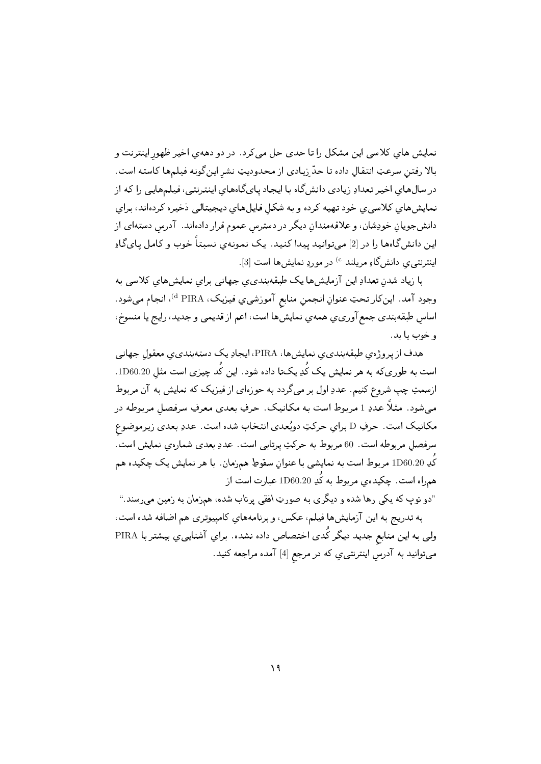نمایش های کلاسی این مشکل را تا حدی حل می کرد. در دو دههی اخیر ظهور اینترنت و بالا رفتن سرعتِ انتقال داده تا حدّ زيادي از محدوديتِ نشر اين گونه فيلمها كاسته است. در سال های اخیر تعدادِ زیادی دانش گاه با ایجاد پای گاههای اینترنتی، فیلمهایی را که از نمایش های کلاسی ی خود تهیه کرده و به شکل فایل های دیجیتالی ذخیره کردهاند، برای دانش جویان خودِشان، و علاقهمندان دیگر در دسترس عموم قرار دادهاند. آدرس دستهای از این دانشگاهها را در [2] میتوانید پیدا کنید. یک نمونهی نسبتاً خوب و کامل پایگاو اینترنتی ی دانشگاهِ مریلند <sup>6</sup> در موردِ نمایشها است [3].

با زیاد شدن تعدادِ این آزمایش ها یک طبقهبندی ی جهانی برای نمایش های کلاسی به وجود آمد. اين كار تحتِ عنوانِ انجمنِ منابع آموزشي، فيزيك، <sup>d</sup> PIRA، انجام ميشود. اساس طبقهبندي جمع آوريءي همهي نمايشها است، اعم از قديمي و جديد، رايج يا منسوخ، و خوب يا بد.

هدف از پر وژه ی طبقه بندی ی نمایش ها، PIRA، ایجادِ یک دسته بندی ی معقول جهانی است به طوریکه به هر نمایش یک کُدِ یکتا داده شود. این کُد چیزی است مثل 1D60.20. ازسمتِ چپ شروع کنیم. عددِ اول بر میگردد به حوزهای از فیزیک که نمایش به آن مربوط می شود. مثلاً عددِ 1 مربوط است به مکانیک. حرفِ بعدی معرفِ سرفصل مربوطه در مکانیک است. حرفِ D برای حرکتِ دوبُعدی انتخاب شده است. عددِ بعدی زیرموضوع سرفصل مربوطه است. 60 مربوط به حرکتِ پرتابی است. عددِ بعدی شمارهی نمایش است. کُدِ 1D60.20 مربوط است به نمایشی با عنوانِ سقوطِ همزمان . با هر نمایش یک چکیده هم همراه است. چکیده ی مربوط به کُدِ 1D60.20 عبارت است از

"دو توپ که یکی رها شده و دیگری به صورتِ افقی پرتاب شده، همزمان به زمین میرسند." به تدریج به این آزمایشها فیلم، عکس، و برنامههای کامپیوتری هم اضافه شده است، ولی به این منابع جدید دیگر کُدی اختصاص داده نشده. برای آشنایی ی بیشتر با PIRA میتوانید به آدرسِ اینترنتی یِ که در مرجع [4] آمده مراجعه کنید.